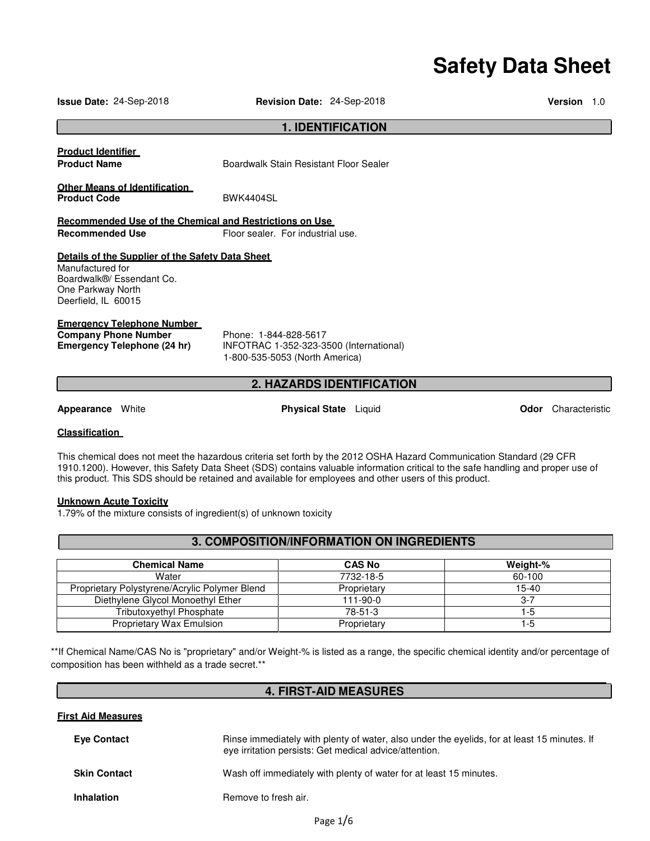# **Safety Data Sheet**

**Issue Date:** 24-Sep-2018 **Revision Date:** 24-Sep-2018 **Version** 1.0

|                                                                                                                                               | <b>1. IDENTIFICATION</b>                                                                                             |                            |  |
|-----------------------------------------------------------------------------------------------------------------------------------------------|----------------------------------------------------------------------------------------------------------------------|----------------------------|--|
| <b>Product Identifier</b><br><b>Product Name</b>                                                                                              | Boardwalk Stain Resistant Floor Sealer                                                                               |                            |  |
| <b>Other Means of Identification</b><br><b>Product Code</b>                                                                                   | <b>BWK4404SL</b>                                                                                                     |                            |  |
| Recommended Use of the Chemical and Restrictions on Use<br><b>Recommended Use</b>                                                             | Floor sealer. For industrial use.                                                                                    |                            |  |
| Details of the Supplier of the Safety Data Sheet<br>Manufactured for<br>Boardwalk®/ Essendant Co.<br>One Parkway North<br>Deerfield, IL 60015 |                                                                                                                      |                            |  |
| <b>Emergency Telephone Number</b><br><b>Company Phone Number</b><br><b>Emergency Telephone (24 hr)</b>                                        | Phone: 1-844-828-5617<br>INFOTRAC 1-352-323-3500 (International)<br>1-800-535-5053 (North America)                   |                            |  |
|                                                                                                                                               | <b>2. HAZARDS IDENTIFICATION</b>                                                                                     |                            |  |
| <b>Appearance</b> White                                                                                                                       | <b>Physical State</b> Liquid                                                                                         | <b>Odor</b> Characteristic |  |
| <b>Classification</b>                                                                                                                         |                                                                                                                      |                            |  |
|                                                                                                                                               | This shamical does not most the bezarde is exiteria set forth by the 2012 OCHA Hezerd Cammunication Standard (20 CED |                            |  |

This chemical does not meet the hazardous criteria set forth by the 2012 OSHA Hazard Communication Standard (29 CFR 1910.1200). However, this Safety Data Sheet (SDS) contains valuable information critical to the safe handling and proper use of this product. This SDS should be retained and available for employees and other users of this product.

## **Unknown Acute Toxicity**

**First Aid Measures**

1.79% of the mixture consists of ingredient(s) of unknown toxicity

# **3. COMPOSITION/INFORMATION ON INGREDIENTS**

| <b>Chemical Name</b>                          | <b>CAS No</b> | Weight-% |
|-----------------------------------------------|---------------|----------|
| Water                                         | 7732-18-5     | 60-100   |
| Proprietary Polystyrene/Acrylic Polymer Blend | Proprietary   | $15-40$  |
| Diethylene Glycol Monoethyl Ether             | 111-90-0      | 3-7      |
| <b>Tributoxyethyl Phosphate</b>               | 78-51-3       | 1-5      |
| <b>Proprietary Wax Emulsion</b>               | Proprietary   | 1-5      |

\*\*If Chemical Name/CAS No is "proprietary" and/or Weight-% is listed as a range, the specific chemical identity and/or percentage of composition has been withheld as a trade secret.\*\*

# **4. FIRST-AID MEASURES**

| <b>Eye Contact</b>  | Rinse immediately with plenty of water, also under the eyelids, for at least 15 minutes. If<br>eye irritation persists: Get medical advice/attention. |
|---------------------|-------------------------------------------------------------------------------------------------------------------------------------------------------|
| <b>Skin Contact</b> | Wash off immediately with plenty of water for at least 15 minutes.                                                                                    |
| <b>Inhalation</b>   | Remove to fresh air.                                                                                                                                  |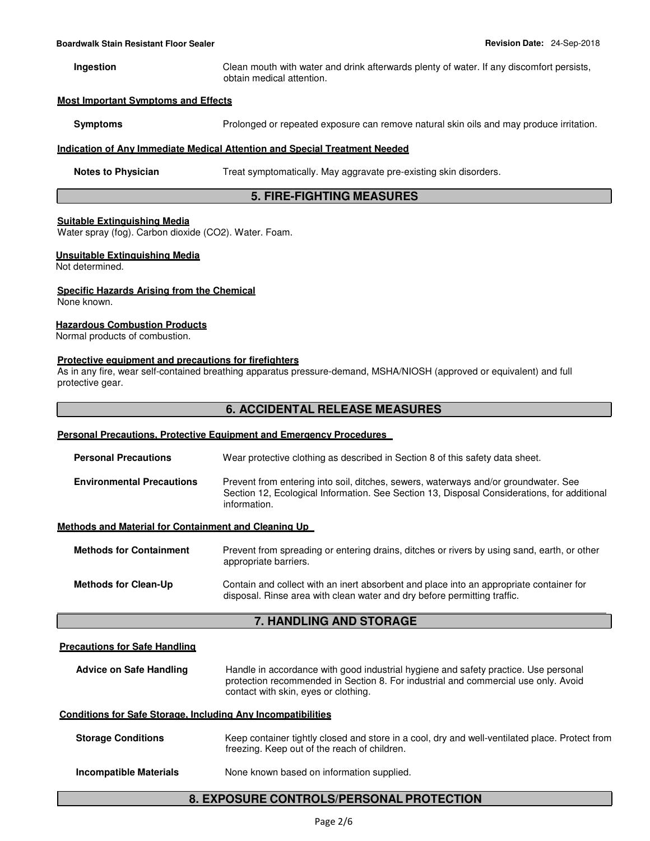**Ingestion** Clean mouth with water and drink afterwards plenty of water. If any discomfort persists, obtain medical attention.

#### **Most Important Symptoms and Effects**

**Symptoms** Prolonged or repeated exposure can remove natural skin oils and may produce irritation.

#### **Indication of Any Immediate Medical Attention and Special Treatment Needed**

**Notes to Physician Treat symptomatically. May aggravate pre-existing skin disorders.** 

## **5. FIRE-FIGHTING MEASURES**

#### **Suitable Extinguishing Media**

Water spray (fog). Carbon dioxide (CO2). Water. Foam.

# **Unsuitable Extinguishing Media**

Not determined.

#### **Specific Hazards Arising from the Chemical**

None known.

#### **Hazardous Combustion Products**

Normal products of combustion.

#### **Protective equipment and precautions for firefighters**

As in any fire, wear self-contained breathing apparatus pressure-demand, MSHA/NIOSH (approved or equivalent) and full protective gear.

# **6. ACCIDENTAL RELEASE MEASURES**

#### **Personal Precautions, Protective Equipment and Emergency Procedures**

| <b>Personal Precautions</b>                          | Wear protective clothing as described in Section 8 of this safety data sheet.                                                                                                                      |
|------------------------------------------------------|----------------------------------------------------------------------------------------------------------------------------------------------------------------------------------------------------|
| <b>Environmental Precautions</b>                     | Prevent from entering into soil, ditches, sewers, waterways and/or groundwater. See<br>Section 12, Ecological Information. See Section 13, Disposal Considerations, for additional<br>information. |
| Methods and Material for Containment and Cleaning Up |                                                                                                                                                                                                    |
| <b>Methods for Containment</b>                       | Prevent from spreading or entering drains, ditches or rivers by using sand, earth, or other<br>appropriate barriers.                                                                               |

**Methods for Clean-Up** Contain and collect with an inert absorbent and place into an appropriate container for disposal. Rinse area with clean water and dry before permitting traffic.

# **7. HANDLING AND STORAGE**

#### **Precautions for Safe Handling**

**Advice on Safe Handling** Handle in accordance with good industrial hygiene and safety practice. Use personal protection recommended in Section 8. For industrial and commercial use only. Avoid contact with skin, eyes or clothing.

#### **Conditions for Safe Storage, Including Any Incompatibilities**

| <b>Storage Conditions</b>     | Keep container tightly closed and store in a cool, dry and well-ventilated place. Protect from<br>freezing. Keep out of the reach of children. |
|-------------------------------|------------------------------------------------------------------------------------------------------------------------------------------------|
| <b>Incompatible Materials</b> | None known based on information supplied.                                                                                                      |

# **8. EXPOSURE CONTROLS/PERSONAL PROTECTION**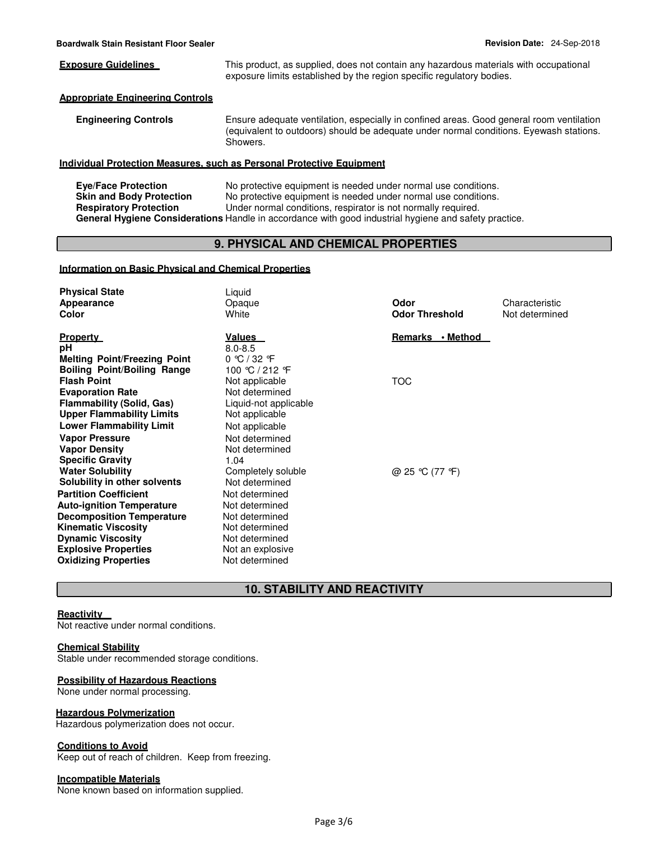**Exposure Guidelines** This product, as supplied, does not contain any hazardous materials with occupational exposure limits established by the region specific regulatory bodies.

#### **Appropriate Engineering Controls**

**Engineering Controls** Ensure adequate ventilation, especially in confined areas. Good general room ventilation (equivalent to outdoors) should be adequate under normal conditions. Eyewash stations. Showers.

#### **Individual Protection Measures, such as Personal Protective Equipment**

**Eye/Face Protection No protective equipment is needed under normal use conditions.**<br>**Skin and Body Protection No protective equipment is needed under normal use conditions. Skin and Body Protection** No protective equipment is needed under normal use conditions. **Respiratory Protection** Under normal conditions, respirator is not normally required. **General Hygiene Considerations** Handle in accordance with good industrial hygiene and safety practice.

# **9. PHYSICAL AND CHEMICAL PROPERTIES**

#### **Information on Basic Physical and Chemical Properties**

| <b>Physical State</b>               | Liquid                           |                       |                |
|-------------------------------------|----------------------------------|-----------------------|----------------|
| Appearance                          | Opaque                           | Odor                  | Characteristic |
| Color                               | White                            | <b>Odor Threshold</b> | Not determined |
| <b>Property</b>                     | <u>Values</u>                    | Remarks • Method      |                |
| рH                                  | $8.0 - 8.5$                      |                       |                |
| <b>Melting Point/Freezing Point</b> | $0 \text{ °C}$ / 32 $\text{ °F}$ |                       |                |
| <b>Boiling Point/Boiling Range</b>  | 100 ℃ / 212 F                    |                       |                |
| <b>Flash Point</b>                  | Not applicable                   | <b>TOC</b>            |                |
| <b>Evaporation Rate</b>             | Not determined                   |                       |                |
| <b>Flammability (Solid, Gas)</b>    | Liquid-not applicable            |                       |                |
| <b>Upper Flammability Limits</b>    | Not applicable                   |                       |                |
| <b>Lower Flammability Limit</b>     | Not applicable                   |                       |                |
| <b>Vapor Pressure</b>               | Not determined                   |                       |                |
| <b>Vapor Density</b>                | Not determined                   |                       |                |
| <b>Specific Gravity</b>             | 1.04                             |                       |                |
| <b>Water Solubility</b>             | Completely soluble               | @ 25 °C (77 °F)       |                |
| Solubility in other solvents        | Not determined                   |                       |                |
| <b>Partition Coefficient</b>        | Not determined                   |                       |                |
| <b>Auto-ignition Temperature</b>    | Not determined                   |                       |                |
| <b>Decomposition Temperature</b>    | Not determined                   |                       |                |
| <b>Kinematic Viscosity</b>          | Not determined                   |                       |                |
| <b>Dynamic Viscosity</b>            | Not determined                   |                       |                |
| <b>Explosive Properties</b>         | Not an explosive                 |                       |                |
| <b>Oxidizing Properties</b>         | Not determined                   |                       |                |

# **10. STABILITY AND REACTIVITY**

# **Reactivity**

Not reactive under normal conditions.

#### **Chemical Stability**

Stable under recommended storage conditions.

#### **Possibility of Hazardous Reactions**

None under normal processing.

#### **Hazardous Polymerization**

Hazardous polymerization does not occur.

#### **Conditions to Avoid**

Keep out of reach of children. Keep from freezing.

# **Incompatible Materials**

None known based on information supplied.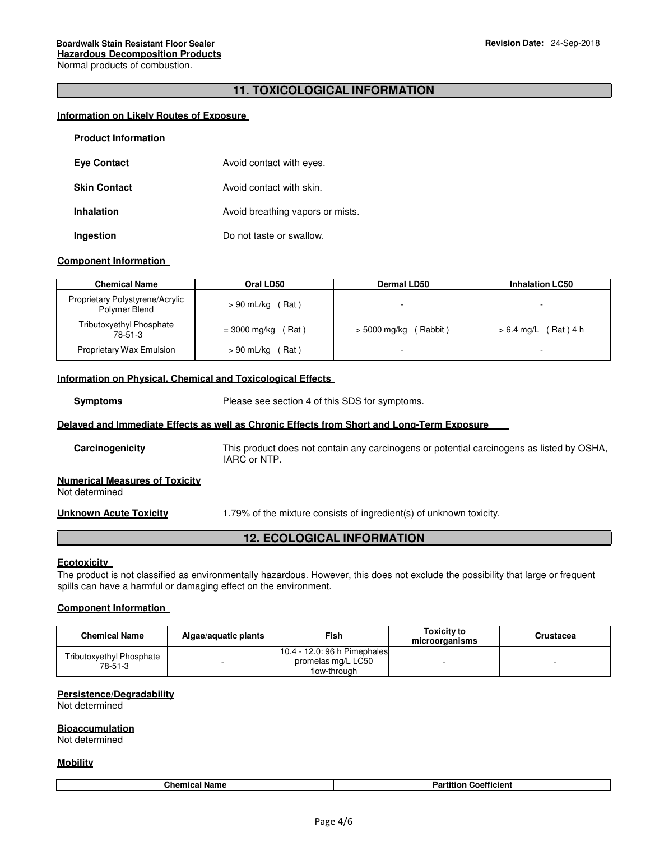# **11. TOXICOLOGICAL INFORMATION**

#### **Information on Likely Routes of Exposure**

| <b>Product Information</b> |                                  |
|----------------------------|----------------------------------|
| <b>Eye Contact</b>         | Avoid contact with eyes.         |
| <b>Skin Contact</b>        | Avoid contact with skin.         |
| <b>Inhalation</b>          | Avoid breathing vapors or mists. |
| Ingestion                  | Do not taste or swallow.         |

#### **Component Information**

| <b>Chemical Name</b>                             | Oral LD50             | Dermal LD50             | <b>Inhalation LC50</b>     |
|--------------------------------------------------|-----------------------|-------------------------|----------------------------|
| Proprietary Polystyrene/Acrylic<br>Polymer Blend | $> 90$ mL/kg (Rat)    |                         |                            |
| Tributoxyethyl Phosphate<br>78-51-3              | = 3000 mg/kg<br>,Rat) | Rabbit)<br>> 5000 mg/kg | 「Rat)4 h<br>$> 6.4$ mg/L ( |
| <b>Proprietary Wax Emulsion</b>                  | $> 90$ mL/kg (Rat)    | ٠                       |                            |

### **Information on Physical, Chemical and Toxicological Effects**

**Symptoms** Please see section 4 of this SDS for symptoms.

#### **Delayed and Immediate Effects as well as Chronic Effects from Short and Long-Term Exposure**

| Carcinogenicity                                         | This product does not contain any carcinogens or potential carcinogens as listed by OSHA,<br>IARC or NTP. |
|---------------------------------------------------------|-----------------------------------------------------------------------------------------------------------|
| <b>Numerical Measures of Toxicity</b><br>Not determined |                                                                                                           |
| Unknown Acute Toxicity                                  | 1.79% of the mixture consists of ingredient(s) of unknown toxicity.                                       |

# **12. ECOLOGICAL INFORMATION**

#### **Ecotoxicity**

The product is not classified as environmentally hazardous. However, this does not exclude the possibility that large or frequent spills can have a harmful or damaging effect on the environment.

#### **Component Information**

| <b>Chemical Name</b>                | Algae/aguatic plants | Fish                                                                 | <b>Toxicity to</b><br>microorganisms | Crustacea |
|-------------------------------------|----------------------|----------------------------------------------------------------------|--------------------------------------|-----------|
| Tributoxyethyl Phosphate<br>78-51-3 |                      | 10.4 - 12.0: 96 h Pimephales  <br>promelas mg/L LC50<br>flow-through |                                      |           |

# **Persistence/Degradability**

Not determined

#### **Bioaccumulation**

Not determined

#### **Mobility**

| .<br>. .<br>Name<br>∴ne | <br><b>De util</b><br><b>Micient</b><br>OPT<br>ан<br>. |
|-------------------------|--------------------------------------------------------|
|                         |                                                        |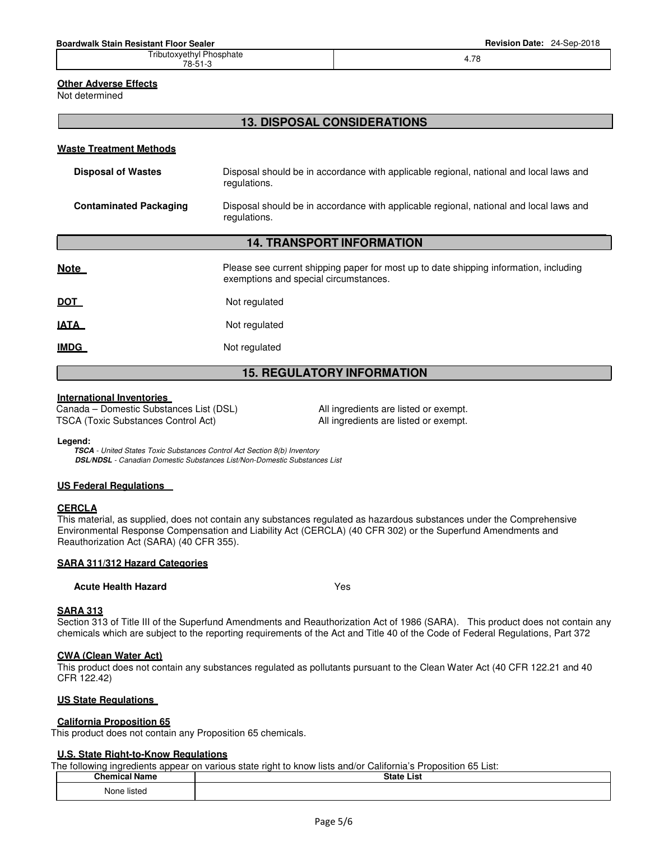Tributoxyethyl Phosphate chi<sub>j</sub>e 1.05 march 2.78<br>78-51-3 **4.78** 

#### **Other Adverse Effects**

Not determined

# **13. DISPOSAL CONSIDERATIONS**

#### **Waste Treatment Methods**

| <b>Disposal of Wastes</b>     | Disposal should be in accordance with applicable regional, national and local laws and<br>regulations. |
|-------------------------------|--------------------------------------------------------------------------------------------------------|
| <b>Contaminated Packaging</b> | Disposal should be in accordance with applicable regional, national and local laws and<br>regulations. |

# **14. TRANSPORT INFORMATION**

| <u>Note</u> | Please see current shipping paper for most up to date shipping information, including<br>exemptions and special circumstances. |
|-------------|--------------------------------------------------------------------------------------------------------------------------------|
| <u>DOT</u>  | Not regulated                                                                                                                  |
| <u>IATA</u> | Not regulated                                                                                                                  |
| <u>IMDG</u> | Not regulated                                                                                                                  |

# **15. REGULATORY INFORMATION**

# **International Inventories**

Canada – Domestic Substances List (DSL) All ingredients are listed or exempt. TSCA (Toxic Substances Control Act) All ingredients are listed or exempt.

#### **Legend:**

**TSCA** - United States Toxic Substances Control Act Section 8(b) Inventory **DSL/NDSL** - Canadian Domestic Substances List/Non-Domestic Substances List

#### **US Federal Regulations**

# **CERCLA**

This material, as supplied, does not contain any substances regulated as hazardous substances under the Comprehensive Environmental Response Compensation and Liability Act (CERCLA) (40 CFR 302) or the Superfund Amendments and Reauthorization Act (SARA) (40 CFR 355).

#### **SARA 311/312 Hazard Categories**

#### **Acute Health Hazard** Yes

#### **SARA 313**

Section 313 of Title III of the Superfund Amendments and Reauthorization Act of 1986 (SARA). This product does not contain any chemicals which are subject to the reporting requirements of the Act and Title 40 of the Code of Federal Regulations, Part 372

# **CWA (Clean Water Act)**

This product does not contain any substances regulated as pollutants pursuant to the Clean Water Act (40 CFR 122.21 and 40 CFR 122.42)

# **US State Regulations**

#### **California Proposition 65**

This product does not contain any Proposition 65 chemicals.

#### **U.S. State Right-to-Know Regulations**

| The following ingredients appear on various state right to know lists and/or California's Proposition 65 List: |                   |  |  |  |  |
|----------------------------------------------------------------------------------------------------------------|-------------------|--|--|--|--|
| <b>Chemical Name</b>                                                                                           | <b>State List</b> |  |  |  |  |
| None listed                                                                                                    |                   |  |  |  |  |